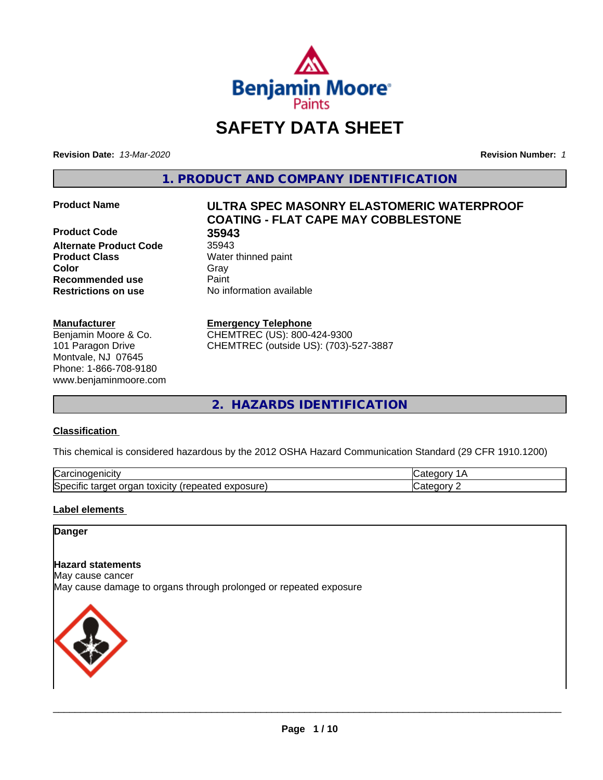

# **SAFETY DATA SHEET**

**Revision Date:** *13-Mar-2020* **Revision Number:** *1*

**1. PRODUCT AND COMPANY IDENTIFICATION**

**Product Code 35943 Alternate Product Code** 35943 **Product Class** Water thinned paint **Color** Gray Gray **Recommended use Caint Restrictions on use** No information available

# **Manufacturer**

Benjamin Moore & Co. 101 Paragon Drive Montvale, NJ 07645 Phone: 1-866-708-9180 www.benjaminmoore.com

# **Product Name ULTRA SPEC MASONRY ELASTOMERIC WATERPROOF COATING - FLAT CAPE MAY COBBLESTONE**

# **Emergency Telephone**

CHEMTREC (US): 800-424-9300 CHEMTREC (outside US): (703)-527-3887

**2. HAZARDS IDENTIFICATION**

# **Classification**

This chemical is considered hazardous by the 2012 OSHA Hazard Communication Standard (29 CFR 1910.1200)

| ∽<br>.<br>∴ar س<br>'HCIT                                                                        | -- - -- |
|-------------------------------------------------------------------------------------------------|---------|
| วosure<br>. .<br>- - -<br>orgar<br>toxicity<br>$\sim$<br>50e<br>arget a<br>эн<br>Galty.<br>50.U | ----    |

# **Label elements**

# **Danger**

# **Hazard statements**

May cause cancer

May cause damage to organs through prolonged or repeated exposure

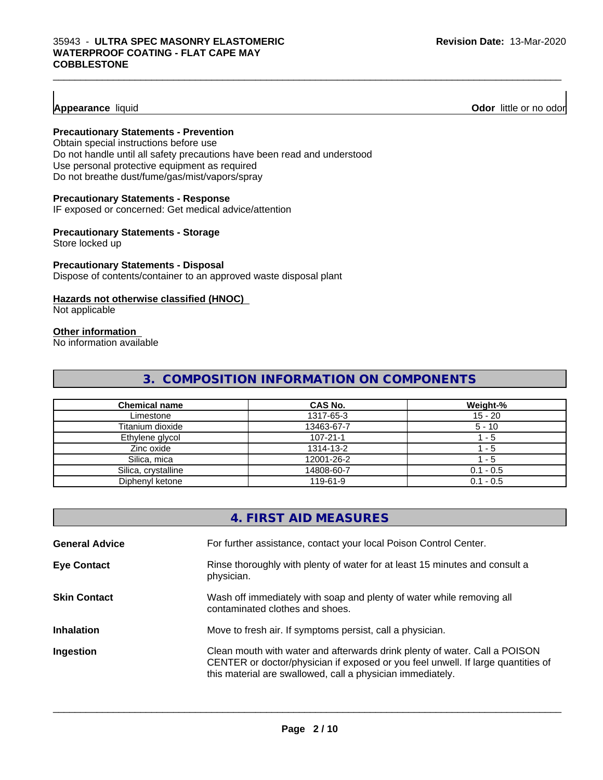# **Appearance** liquid

# **Precautionary Statements - Prevention**

Obtain special instructions before use Do not handle until all safety precautions have been read and understood Use personal protective equipment as required Do not breathe dust/fume/gas/mist/vapors/spray

#### **Precautionary Statements - Response**

IF exposed or concerned: Get medical advice/attention

#### **Precautionary Statements - Storage**

Store locked up

# **Precautionary Statements - Disposal**

Dispose of contents/container to an approved waste disposal plant

#### **Hazards not otherwise classified (HNOC)**

Not applicable

#### **Other information**

No information available

# **3. COMPOSITION INFORMATION ON COMPONENTS**

| <b>Chemical name</b> | CAS No.        | Weight-%    |
|----------------------|----------------|-------------|
| Limestone            | 1317-65-3      | $15 - 20$   |
| Titanium dioxide     | 13463-67-7     | $5 - 10$    |
| Ethylene glycol      | $107 - 21 - 1$ | - 5         |
| Zinc oxide           | 1314-13-2      | - 5         |
| Silica, mica         | 12001-26-2     | - 5         |
| Silica, crystalline  | 14808-60-7     | $0.1 - 0.5$ |
| Diphenyl ketone      | 119-61-9       | $0.1 - 0.5$ |

|                       | 4. FIRST AID MEASURES                                                                                                                                                                                                        |
|-----------------------|------------------------------------------------------------------------------------------------------------------------------------------------------------------------------------------------------------------------------|
| <b>General Advice</b> | For further assistance, contact your local Poison Control Center.                                                                                                                                                            |
| <b>Eye Contact</b>    | Rinse thoroughly with plenty of water for at least 15 minutes and consult a<br>physician.                                                                                                                                    |
| <b>Skin Contact</b>   | Wash off immediately with soap and plenty of water while removing all<br>contaminated clothes and shoes.                                                                                                                     |
| <b>Inhalation</b>     | Move to fresh air. If symptoms persist, call a physician.                                                                                                                                                                    |
| Ingestion             | Clean mouth with water and afterwards drink plenty of water. Call a POISON<br>CENTER or doctor/physician if exposed or you feel unwell. If large quantities of<br>this material are swallowed, call a physician immediately. |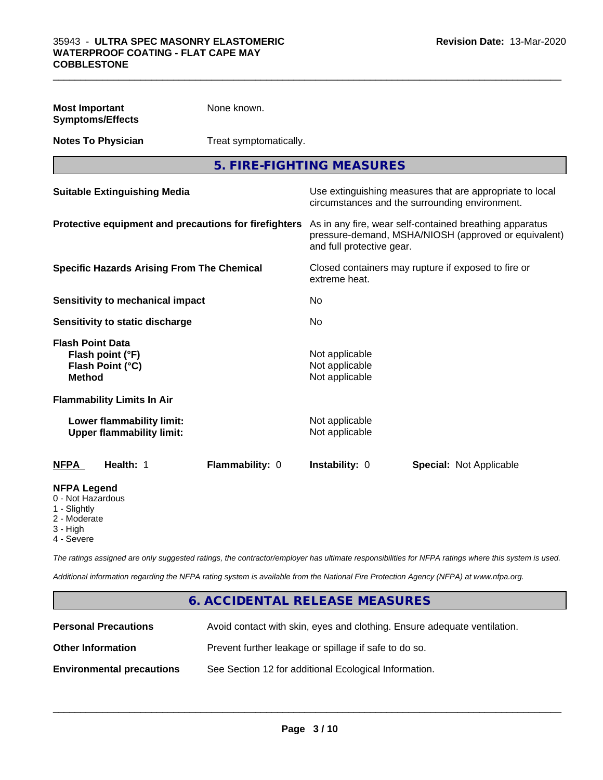| <b>Most Important</b><br><b>Symptoms/Effects</b>                                          | None known.            |                                                                                                                                              |                         |
|-------------------------------------------------------------------------------------------|------------------------|----------------------------------------------------------------------------------------------------------------------------------------------|-------------------------|
| <b>Notes To Physician</b>                                                                 | Treat symptomatically. |                                                                                                                                              |                         |
|                                                                                           |                        | 5. FIRE-FIGHTING MEASURES                                                                                                                    |                         |
| <b>Suitable Extinguishing Media</b>                                                       |                        | Use extinguishing measures that are appropriate to local<br>circumstances and the surrounding environment.                                   |                         |
| Protective equipment and precautions for firefighters                                     |                        | As in any fire, wear self-contained breathing apparatus<br>pressure-demand, MSHA/NIOSH (approved or equivalent)<br>and full protective gear. |                         |
| <b>Specific Hazards Arising From The Chemical</b>                                         |                        | Closed containers may rupture if exposed to fire or<br>extreme heat.                                                                         |                         |
| Sensitivity to mechanical impact                                                          | No                     |                                                                                                                                              |                         |
| Sensitivity to static discharge                                                           |                        | No                                                                                                                                           |                         |
| <b>Flash Point Data</b><br>Flash point (°F)<br>Flash Point (°C)<br><b>Method</b>          |                        | Not applicable<br>Not applicable<br>Not applicable                                                                                           |                         |
| <b>Flammability Limits In Air</b>                                                         |                        |                                                                                                                                              |                         |
| Lower flammability limit:<br><b>Upper flammability limit:</b>                             |                        | Not applicable<br>Not applicable                                                                                                             |                         |
| <b>NFPA</b><br>Health: 1                                                                  | Flammability: 0        | Instability: 0                                                                                                                               | Special: Not Applicable |
| <b>NFPA Legend</b><br>0 - Not Hazardous<br>1 - Slightly<br>2 - Moderate<br>الماري البارات |                        |                                                                                                                                              |                         |

- 3 High
- 4 Severe

*The ratings assigned are only suggested ratings, the contractor/employer has ultimate responsibilities for NFPA ratings where this system is used.*

*Additional information regarding the NFPA rating system is available from the National Fire Protection Agency (NFPA) at www.nfpa.org.*

# **6. ACCIDENTAL RELEASE MEASURES Personal Precautions** Avoid contact with skin, eyes and clothing. Ensure adequate ventilation. **Other Information Prevent further leakage or spillage if safe to do so. Environmental precautions** See Section 12 for additional Ecological Information.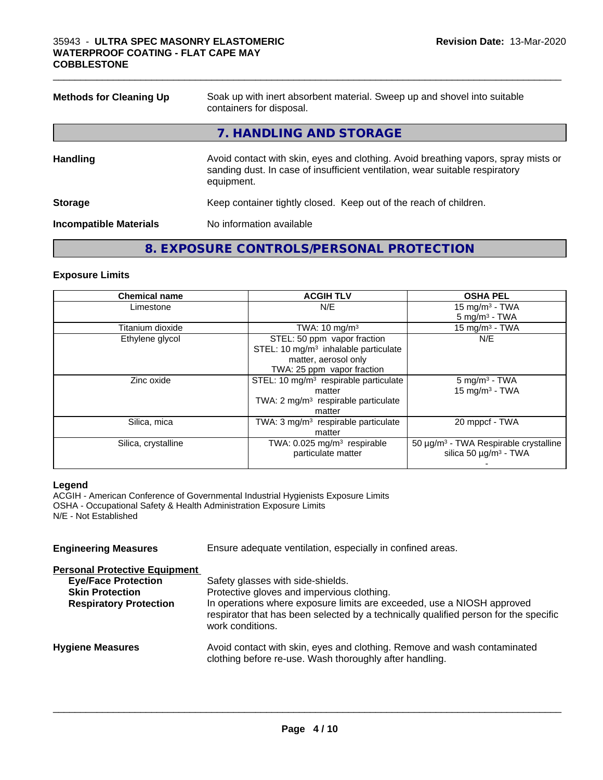| <b>Methods for Cleaning Up</b> | Soak up with inert absorbent material. Sweep up and shovel into suitable<br>containers for disposal.                                                                             |  |  |
|--------------------------------|----------------------------------------------------------------------------------------------------------------------------------------------------------------------------------|--|--|
|                                | 7. HANDLING AND STORAGE                                                                                                                                                          |  |  |
| <b>Handling</b>                | Avoid contact with skin, eyes and clothing. Avoid breathing vapors, spray mists or<br>sanding dust. In case of insufficient ventilation, wear suitable respiratory<br>equipment. |  |  |
| <b>Storage</b>                 | Keep container tightly closed. Keep out of the reach of children.                                                                                                                |  |  |
| <b>Incompatible Materials</b>  | No information available                                                                                                                                                         |  |  |

 $\_$  ,  $\_$  ,  $\_$  ,  $\_$  ,  $\_$  ,  $\_$  ,  $\_$  ,  $\_$  ,  $\_$  ,  $\_$  ,  $\_$  ,  $\_$  ,  $\_$  ,  $\_$  ,  $\_$  ,  $\_$  ,  $\_$  ,  $\_$  ,  $\_$  ,  $\_$  ,  $\_$  ,  $\_$  ,  $\_$  ,  $\_$  ,  $\_$  ,  $\_$  ,  $\_$  ,  $\_$  ,  $\_$  ,  $\_$  ,  $\_$  ,  $\_$  ,  $\_$  ,  $\_$  ,  $\_$  ,  $\_$  ,  $\_$  ,

# **8. EXPOSURE CONTROLS/PERSONAL PROTECTION**

# **Exposure Limits**

| <b>Chemical name</b> | <b>ACGIH TLV</b>                                  | <b>OSHA PEL</b>                                   |
|----------------------|---------------------------------------------------|---------------------------------------------------|
| Limestone            | N/E                                               | 15 mg/m $3$ - TWA                                 |
|                      |                                                   | $5 \text{ mg/m}^3$ - TWA                          |
| Titanium dioxide     | TWA: $10 \text{ mg/m}^3$                          | 15 mg/m $3$ - TWA                                 |
| Ethylene glycol      | STEL: 50 ppm vapor fraction                       | N/E                                               |
|                      | STEL: 10 mg/m <sup>3</sup> inhalable particulate  |                                                   |
|                      | matter, aerosol only                              |                                                   |
|                      | TWA: 25 ppm vapor fraction                        |                                                   |
| Zinc oxide           | STEL: 10 mg/m <sup>3</sup> respirable particulate | $5 \text{ mg/m}^3$ - TWA                          |
|                      | matter                                            | $15$ mg/m <sup>3</sup> - TWA                      |
|                      | TWA: $2 \text{ mg/m}^3$ respirable particulate    |                                                   |
|                      | matter                                            |                                                   |
| Silica, mica         | TWA: $3 \text{ mg/m}^3$ respirable particulate    | 20 mppcf - TWA                                    |
|                      | matter                                            |                                                   |
| Silica, crystalline  | TWA: $0.025$ mg/m <sup>3</sup> respirable         | 50 µg/m <sup>3</sup> - TWA Respirable crystalline |
|                      | particulate matter                                | silica 50 $\mu$ g/m <sup>3</sup> - TWA            |
|                      |                                                   |                                                   |

# **Legend**

ACGIH - American Conference of Governmental Industrial Hygienists Exposure Limits OSHA - Occupational Safety & Health Administration Exposure Limits N/E - Not Established

| Ensure adequate ventilation, especially in confined areas.                                                                                                                         |  |  |  |  |  |  |
|------------------------------------------------------------------------------------------------------------------------------------------------------------------------------------|--|--|--|--|--|--|
|                                                                                                                                                                                    |  |  |  |  |  |  |
| Safety glasses with side-shields.                                                                                                                                                  |  |  |  |  |  |  |
| Protective gloves and impervious clothing.                                                                                                                                         |  |  |  |  |  |  |
| In operations where exposure limits are exceeded, use a NIOSH approved<br>respirator that has been selected by a technically qualified person for the specific<br>work conditions. |  |  |  |  |  |  |
| Avoid contact with skin, eyes and clothing. Remove and wash contaminated<br>clothing before re-use. Wash thoroughly after handling.                                                |  |  |  |  |  |  |
|                                                                                                                                                                                    |  |  |  |  |  |  |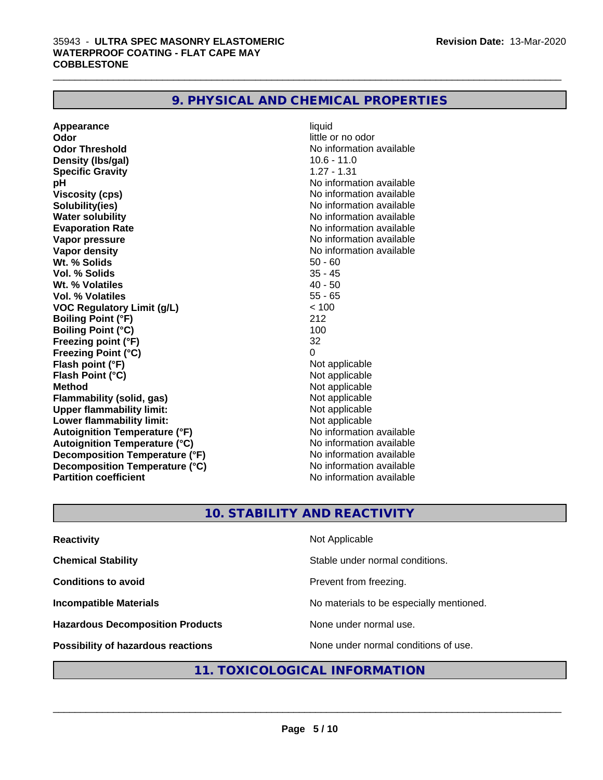| 9. PHYSICAL AND CHEMICAL PROPERTIES |  |
|-------------------------------------|--|
|-------------------------------------|--|

| Appearance                           | liquid                   |
|--------------------------------------|--------------------------|
| Odor                                 | little or no odor        |
| <b>Odor Threshold</b>                | No information available |
| Density (Ibs/gal)                    | $10.6 - 11.0$            |
| <b>Specific Gravity</b>              | $1.27 - 1.31$            |
| рH                                   | No information available |
| <b>Viscosity (cps)</b>               | No information available |
| Solubility(ies)                      | No information available |
| <b>Water solubility</b>              | No information available |
| <b>Evaporation Rate</b>              | No information available |
| Vapor pressure                       | No information available |
| <b>Vapor density</b>                 | No information available |
| Wt. % Solids                         | $50 - 60$                |
| <b>Vol. % Solids</b>                 | $35 - 45$                |
| Wt. % Volatiles                      | $40 - 50$                |
| <b>Vol. % Volatiles</b>              | $55 - 65$                |
| <b>VOC Regulatory Limit (g/L)</b>    | < 100                    |
| <b>Boiling Point (°F)</b>            | 212                      |
| <b>Boiling Point (°C)</b>            | 100                      |
| Freezing point (°F)                  | 32                       |
| <b>Freezing Point (°C)</b>           | 0                        |
| Flash point (°F)                     | Not applicable           |
| Flash Point (°C)                     | Not applicable           |
| <b>Method</b>                        | Not applicable           |
| <b>Flammability (solid, gas)</b>     | Not applicable           |
| <b>Upper flammability limit:</b>     | Not applicable           |
| Lower flammability limit:            | Not applicable           |
| <b>Autoignition Temperature (°F)</b> | No information available |
| <b>Autoignition Temperature (°C)</b> | No information available |
| Decomposition Temperature (°F)       | No information available |
| Decomposition Temperature (°C)       | No information available |
| <b>Partition coefficient</b>         | No information available |

# **10. STABILITY AND REACTIVITY**

| <b>Reactivity</b>                         | Not Applicable                           |
|-------------------------------------------|------------------------------------------|
| <b>Chemical Stability</b>                 | Stable under normal conditions.          |
| <b>Conditions to avoid</b>                | Prevent from freezing.                   |
| <b>Incompatible Materials</b>             | No materials to be especially mentioned. |
| <b>Hazardous Decomposition Products</b>   | None under normal use.                   |
| <b>Possibility of hazardous reactions</b> | None under normal conditions of use.     |

# **11. TOXICOLOGICAL INFORMATION**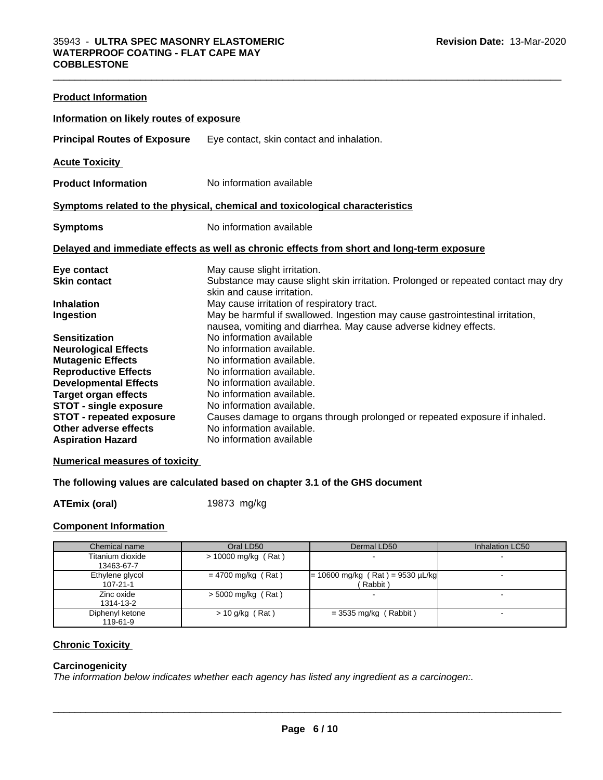| <b>Product Information</b>                               |                                                                                                                                                   |  |  |  |  |
|----------------------------------------------------------|---------------------------------------------------------------------------------------------------------------------------------------------------|--|--|--|--|
| Information on likely routes of exposure                 |                                                                                                                                                   |  |  |  |  |
| <b>Principal Routes of Exposure</b>                      | Eye contact, skin contact and inhalation.                                                                                                         |  |  |  |  |
| <b>Acute Toxicity</b>                                    |                                                                                                                                                   |  |  |  |  |
| <b>Product Information</b>                               | No information available                                                                                                                          |  |  |  |  |
|                                                          | Symptoms related to the physical, chemical and toxicological characteristics                                                                      |  |  |  |  |
| <b>Symptoms</b>                                          | No information available                                                                                                                          |  |  |  |  |
|                                                          | Delayed and immediate effects as well as chronic effects from short and long-term exposure                                                        |  |  |  |  |
| Eye contact                                              | May cause slight irritation.                                                                                                                      |  |  |  |  |
| <b>Skin contact</b>                                      | Substance may cause slight skin irritation. Prolonged or repeated contact may dry<br>skin and cause irritation.                                   |  |  |  |  |
| <b>Inhalation</b>                                        | May cause irritation of respiratory tract.                                                                                                        |  |  |  |  |
| Ingestion                                                | May be harmful if swallowed. Ingestion may cause gastrointestinal irritation,<br>nausea, vomiting and diarrhea. May cause adverse kidney effects. |  |  |  |  |
| <b>Sensitization</b>                                     | No information available                                                                                                                          |  |  |  |  |
| <b>Neurological Effects</b>                              | No information available.                                                                                                                         |  |  |  |  |
| <b>Mutagenic Effects</b>                                 | No information available.                                                                                                                         |  |  |  |  |
| <b>Reproductive Effects</b>                              | No information available.                                                                                                                         |  |  |  |  |
| <b>Developmental Effects</b>                             | No information available.                                                                                                                         |  |  |  |  |
| <b>Target organ effects</b>                              | No information available.                                                                                                                         |  |  |  |  |
| <b>STOT - single exposure</b>                            | No information available.                                                                                                                         |  |  |  |  |
| <b>STOT - repeated exposure</b><br>Other adverse effects | Causes damage to organs through prolonged or repeated exposure if inhaled.<br>No information available.                                           |  |  |  |  |
| <b>Aspiration Hazard</b>                                 | No information available                                                                                                                          |  |  |  |  |
|                                                          |                                                                                                                                                   |  |  |  |  |

 $\_$  ,  $\_$  ,  $\_$  ,  $\_$  ,  $\_$  ,  $\_$  ,  $\_$  ,  $\_$  ,  $\_$  ,  $\_$  ,  $\_$  ,  $\_$  ,  $\_$  ,  $\_$  ,  $\_$  ,  $\_$  ,  $\_$  ,  $\_$  ,  $\_$  ,  $\_$  ,  $\_$  ,  $\_$  ,  $\_$  ,  $\_$  ,  $\_$  ,  $\_$  ,  $\_$  ,  $\_$  ,  $\_$  ,  $\_$  ,  $\_$  ,  $\_$  ,  $\_$  ,  $\_$  ,  $\_$  ,  $\_$  ,  $\_$  ,

# **Numerical measures of toxicity**

# **The following values are calculated based on chapter 3.1 of the GHS document**

**ATEmix (oral)** 19873 mg/kg

# **Component Information**

| Chemical name                     | Oral LD50             | Dermal LD50                                    | Inhalation LC50 |
|-----------------------------------|-----------------------|------------------------------------------------|-----------------|
| Titanium dioxide<br>13463-67-7    | $> 10000$ mg/kg (Rat) |                                                |                 |
| Ethylene glycol<br>$107 - 21 - 1$ | $= 4700$ mg/kg (Rat)  | $= 10600$ mg/kg (Rat) = 9530 µL/kg<br>(Rabbit) |                 |
| Zinc oxide<br>1314-13-2           | $>$ 5000 mg/kg (Rat)  |                                                |                 |
| Diphenyl ketone<br>119-61-9       | $> 10$ g/kg (Rat)     | $=$ 3535 mg/kg (Rabbit)                        |                 |

# **Chronic Toxicity**

# **Carcinogenicity**

*The information below indicateswhether each agency has listed any ingredient as a carcinogen:.*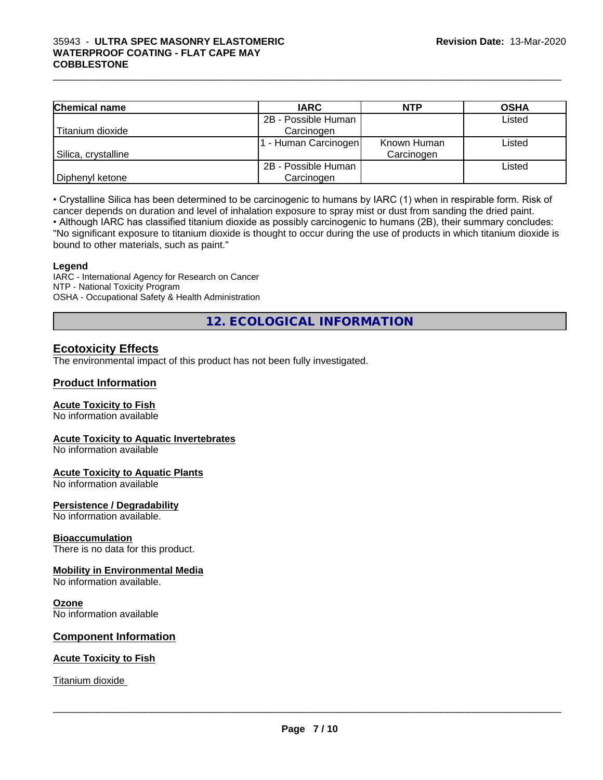# $\_$  ,  $\_$  ,  $\_$  ,  $\_$  ,  $\_$  ,  $\_$  ,  $\_$  ,  $\_$  ,  $\_$  ,  $\_$  ,  $\_$  ,  $\_$  ,  $\_$  ,  $\_$  ,  $\_$  ,  $\_$  ,  $\_$  ,  $\_$  ,  $\_$  ,  $\_$  ,  $\_$  ,  $\_$  ,  $\_$  ,  $\_$  ,  $\_$  ,  $\_$  ,  $\_$  ,  $\_$  ,  $\_$  ,  $\_$  ,  $\_$  ,  $\_$  ,  $\_$  ,  $\_$  ,  $\_$  ,  $\_$  ,  $\_$  , 35943 - **ULTRA SPEC MASONRY ELASTOMERIC WATERPROOF COATING - FLAT CAPE MAY COBBLESTONE**

| <b>Chemical name</b> | <b>IARC</b>         | <b>NTP</b>  | <b>OSHA</b> |
|----------------------|---------------------|-------------|-------------|
|                      | 2B - Possible Human |             | Listed      |
| Titanium dioxide     | Carcinogen          |             |             |
|                      | - Human Carcinogen  | Known Human | Listed      |
| Silica, crystalline  |                     | Carcinogen  |             |
|                      | 2B - Possible Human |             | Listed      |
| Diphenyl ketone      | Carcinogen          |             |             |

• Crystalline Silica has been determined to be carcinogenic to humans by IARC (1) when in respirable form. Risk of cancer depends on duration and level of inhalation exposure to spray mist or dust from sanding the dried paint.

• Although IARC has classified titanium dioxide as possibly carcinogenic to humans (2B), their summary concludes: "No significant exposure to titanium dioxide is thought to occur during the use of products in which titanium dioxide is bound to other materials, such as paint."

#### **Legend**

IARC - International Agency for Research on Cancer NTP - National Toxicity Program OSHA - Occupational Safety & Health Administration

**12. ECOLOGICAL INFORMATION**

# **Ecotoxicity Effects**

The environmental impact of this product has not been fully investigated.

# **Product Information**

# **Acute Toxicity to Fish**

No information available

# **Acute Toxicity to Aquatic Invertebrates**

No information available

# **Acute Toxicity to Aquatic Plants**

No information available

# **Persistence / Degradability**

No information available.

#### **Bioaccumulation**

There is no data for this product.

#### **Mobility in Environmental Media**

No information available.

#### **Ozone**

No information available

# **Component Information**

# **Acute Toxicity to Fish**

Titanium dioxide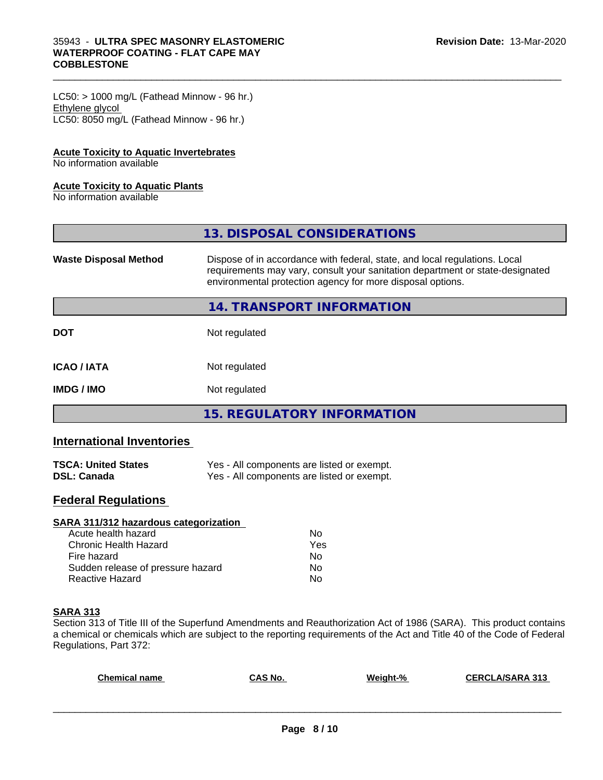# 35943 - **ULTRA SPEC MASONRY ELASTOMERIC WATERPROOF COATING - FLAT CAPE MAY COBBLESTONE**

 $LC50:$  > 1000 mg/L (Fathead Minnow - 96 hr.) Ethylene glycol LC50: 8050 mg/L (Fathead Minnow - 96 hr.)

# **Acute Toxicity to Aquatic Invertebrates**

No information available

# **Acute Toxicity to Aquatic Plants**

No information available

|                              | 13. DISPOSAL CONSIDERATIONS                                                                                                                                                                                               |
|------------------------------|---------------------------------------------------------------------------------------------------------------------------------------------------------------------------------------------------------------------------|
| <b>Waste Disposal Method</b> | Dispose of in accordance with federal, state, and local regulations. Local<br>requirements may vary, consult your sanitation department or state-designated<br>environmental protection agency for more disposal options. |
|                              | 14. TRANSPORT INFORMATION                                                                                                                                                                                                 |
| <b>DOT</b>                   | Not regulated                                                                                                                                                                                                             |
| <b>ICAO/IATA</b>             | Not regulated                                                                                                                                                                                                             |
| <b>IMDG/IMO</b>              | Not regulated                                                                                                                                                                                                             |
|                              | <b>15. REGULATORY INFORMATION</b>                                                                                                                                                                                         |

 $\_$  ,  $\_$  ,  $\_$  ,  $\_$  ,  $\_$  ,  $\_$  ,  $\_$  ,  $\_$  ,  $\_$  ,  $\_$  ,  $\_$  ,  $\_$  ,  $\_$  ,  $\_$  ,  $\_$  ,  $\_$  ,  $\_$  ,  $\_$  ,  $\_$  ,  $\_$  ,  $\_$  ,  $\_$  ,  $\_$  ,  $\_$  ,  $\_$  ,  $\_$  ,  $\_$  ,  $\_$  ,  $\_$  ,  $\_$  ,  $\_$  ,  $\_$  ,  $\_$  ,  $\_$  ,  $\_$  ,  $\_$  ,  $\_$  ,

# **International Inventories**

| <b>TSCA: United States</b> | Yes - All components are listed or exempt. |
|----------------------------|--------------------------------------------|
| <b>DSL: Canada</b>         | Yes - All components are listed or exempt. |

# **Federal Regulations**

| SARA 311/312 hazardous categorization |     |  |
|---------------------------------------|-----|--|
| Acute health hazard                   | Nο  |  |
| Chronic Health Hazard                 | Yes |  |
| Fire hazard                           | Nο  |  |
| Sudden release of pressure hazard     | No  |  |
| Reactive Hazard                       | No  |  |

# **SARA 313**

Section 313 of Title III of the Superfund Amendments and Reauthorization Act of 1986 (SARA). This product contains a chemical or chemicals which are subject to the reporting requirements of the Act and Title 40 of the Code of Federal Regulations, Part 372:

| <b>Chemical name</b> | CAS No. | Weight-% | <b>CERCLA/SARA 313</b> |
|----------------------|---------|----------|------------------------|
|                      |         |          |                        |
|                      |         |          |                        |
|                      |         |          |                        |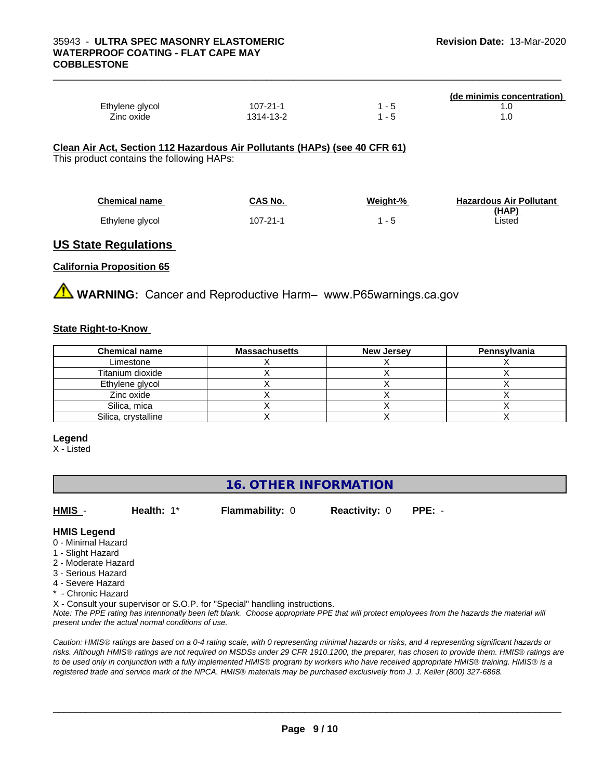|                 |           |      | (de minimis concentration) |
|-----------------|-----------|------|----------------------------|
| Ethylene glycol | 107-21-1  |      | . .U                       |
| Zinc oxide      | 1314-13-2 | $-5$ | . .U                       |
|                 |           |      |                            |

#### **Clean Air Act,Section 112 Hazardous Air Pollutants (HAPs) (see 40 CFR 61)**

This product contains the following HAPs:

| <b>Chemical name</b> | CAS No.        | Weight-% | <b>Hazardous Air Pollutant</b> |
|----------------------|----------------|----------|--------------------------------|
|                      |                |          | <u>(HAP)</u>                   |
| Ethylene glycol      | $107 - 21 - 1$ | 1 - 5    | Listed                         |

# **US State Regulations**

# **California Proposition 65**

**A** WARNING: Cancer and Reproductive Harm– www.P65warnings.ca.gov

# **State Right-to-Know**

| <b>Chemical name</b> | <b>Massachusetts</b> | <b>New Jersey</b> | Pennsylvania |
|----------------------|----------------------|-------------------|--------------|
| Limestone            |                      |                   |              |
| Titanium dioxide     |                      |                   |              |
| Ethylene glycol      |                      |                   |              |
| Zinc oxide           |                      |                   |              |
| Silica, mica         |                      |                   |              |
| Silica, crystalline  |                      |                   |              |

#### **Legend**

X - Listed

# **16. OTHER INFORMATION**

**HMIS** - **Health:** 1\* **Flammability:** 0 **Reactivity:** 0 **PPE:** -

# **HMIS Legend**

- 0 Minimal Hazard
- 1 Slight Hazard
- 2 Moderate Hazard
- 3 Serious Hazard
- 4 Severe Hazard
- **Chronic Hazard**

X - Consult your supervisor or S.O.P. for "Special" handling instructions.

*Note: The PPE rating has intentionally been left blank. Choose appropriate PPE that will protect employees from the hazards the material will present under the actual normal conditions of use.*

*Caution: HMISÒ ratings are based on a 0-4 rating scale, with 0 representing minimal hazards or risks, and 4 representing significant hazards or risks. Although HMISÒ ratings are not required on MSDSs under 29 CFR 1910.1200, the preparer, has chosen to provide them. HMISÒ ratings are to be used only in conjunction with a fully implemented HMISÒ program by workers who have received appropriate HMISÒ training. HMISÒ is a registered trade and service mark of the NPCA. HMISÒ materials may be purchased exclusively from J. J. Keller (800) 327-6868.*